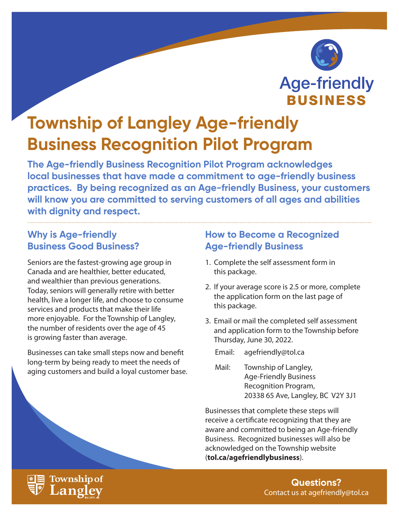

# **Township of Langley Age-friendly Business Recognition Pilot Program**

**The Age-friendly Business Recognition Pilot Program acknowledges local businesses that have made a commitment to age-friendly business practices. By being recognized as an Age-friendly Business, your customers will know you are committed to serving customers of all ages and abilities with dignity and respect.**

# **Why is Age-friendly Business Good Business?**

Seniors are the fastest-growing age group in Canada and are healthier, better educated, and wealthier than previous generations. Today, seniors will generally retire with better health, live a longer life, and choose to consume services and products that make their life more enjoyable. For the Township of Langley, the number of residents over the age of 45 is growing faster than average.

Businesses can take small steps now and benefit long-term by being ready to meet the needs of aging customers and build a loyal customer base.

# **How to Become a Recognized Age-friendly Business**

- 1. Complete the self assessment form in this package.
- 2. If your average score is 2.5 or more, complete the application form on the last page of this package.
- 3. Email or mail the completed self assessment and application form to the Township before Thursday, June 30, 2022.

Email: agefriendly@tol.ca

Mail: Township of Langley, Age-Friendly Business Recognition Program, 20338 65 Ave, Langley, BC V2Y 3J1

Businesses that complete these steps will receive a certificate recognizing that they are aware and committed to being an Age-friendly Business. Recognized businesses will also be acknowledged on the Township website (**tol.ca/agefriendlybusiness**).



**Questions?** Contact us at agefriendly@tol.ca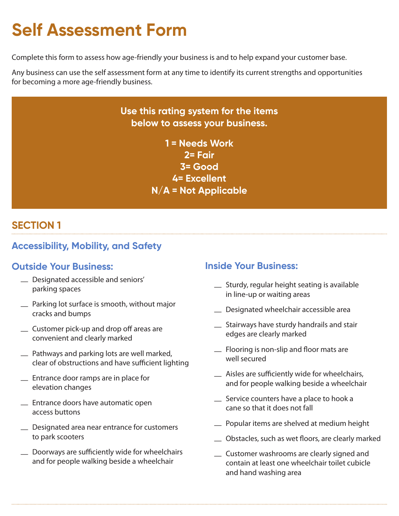# **Self Assessment Form**

Complete this form to assess how age-friendly your business is and to help expand your customer base.

Any business can use the self assessment form at any time to identify its current strengths and opportunities for becoming a more age-friendly business.

# **Use this rating system for the items below to assess your business.**

**1 = Needs Work 2= Fair 3= Good 4= Excellent N/A = Not Applicable**

# **SECTION 1**

# **Accessibility, Mobility, and Safety**

### **Outside Your Business:**

- Designated accessible and seniors' parking spaces
- Parking lot surface is smooth, without major cracks and bumps
- Customer pick-up and drop off areas are convenient and clearly marked
- Pathways and parking lots are well marked, clear of obstructions and have sufficient lighting
- Entrance door ramps are in place for elevation changes
- Entrance doors have automatic open access buttons
- Designated area near entrance for customers to park scooters
- Doorways are sufficiently wide for wheelchairs and for people walking beside a wheelchair

### **Inside Your Business:**

- Sturdy, regular height seating is available in line-up or waiting areas
- Designated wheelchair accessible area
- Stairways have sturdy handrails and stair edges are clearly marked
- Flooring is non-slip and floor mats are well secured
- Aisles are sufficiently wide for wheelchairs, and for people walking beside a wheelchair
- Service counters have a place to hook a cane so that it does not fall
- Popular items are shelved at medium height
- Obstacles, such as wet floors, are clearly marked
- Customer washrooms are clearly signed and contain at least one wheelchair toilet cubicle and hand washing area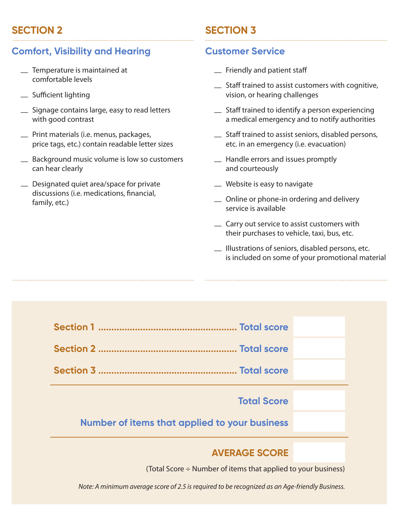# **SECTION 2**

# **Comfort, Visibility and Hearing**

- Temperature is maintained at comfortable levels
- Sufficient lighting
- Signage contains large, easy to read letters with good contrast
- Print materials (i.e. menus, packages, price tags, etc.) contain readable letter sizes
- Background music volume is low so customers can hear clearly
- Designated quiet area/space for private discussions (i.e. medications, financial, family, etc.)

# **SECTION 3**

### **Customer Service**

- Friendly and patient staff
- Staff trained to assist customers with cognitive, vision, or hearing challenges
- Staff trained to identify a person experiencing a medical emergency and to notify authorities
- Staff trained to assist seniors, disabled persons, etc. in an emergency (i.e. evacuation)
- Handle errors and issues promptly and courteously
- Website is easy to navigate
- Online or phone-in ordering and delivery service is available
- Carry out service to assist customers with their purchases to vehicle, taxi, bus, etc.
- Illustrations of seniors, disabled persons, etc. is included on some of your promotional material



### **AVERAGE SCORE**

(Total Score ÷ Number of items that applied to your business)

*Note: A minimum average score of 2.5 is required to be recognized as an Age-friendly Business.*